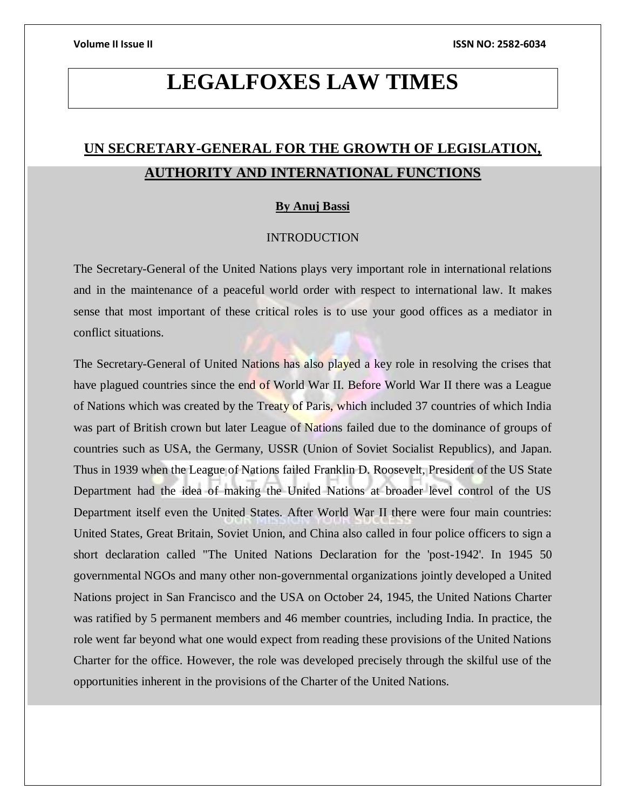# **LEGALFOXES LAW TIMES**

# **UN SECRETARY-GENERAL FOR THE GROWTH OF LEGISLATION, AUTHORITY AND INTERNATIONAL FUNCTIONS**

# **By Anuj Bassi**

# INTRODUCTION

The Secretary-General of the United Nations plays very important role in international relations and in the maintenance of a peaceful world order with respect to international law. It makes sense that most important of these critical roles is to use your good offices as a mediator in conflict situations.

The Secretary-General of United Nations has also played a key role in resolving the crises that have plagued countries since the end of World War II. Before World War II there was a League of Nations which was created by the Treaty of Paris, which included 37 countries of which India was part of British crown but later League of Nations failed due to the dominance of groups of countries such as USA, the Germany, USSR (Union of Soviet Socialist Republics), and Japan. Thus in 1939 when the League of Nations failed Franklin D. Roosevelt, President of the US State Department had the idea of making the United Nations at broader level control of the US Department itself even the United States. After World War II there were four main countries: United States, Great Britain, Soviet Union, and China also called in four police officers to sign a short declaration called "The United Nations Declaration for the 'post-1942'. In 1945 50 governmental NGOs and many other non-governmental organizations jointly developed a United Nations project in San Francisco and the USA on October 24, 1945, the United Nations Charter was ratified by 5 permanent members and 46 member countries, including India. In practice, the role went far beyond what one would expect from reading these provisions of the United Nations Charter for the office. However, the role was developed precisely through the skilful use of the opportunities inherent in the provisions of the Charter of the United Nations.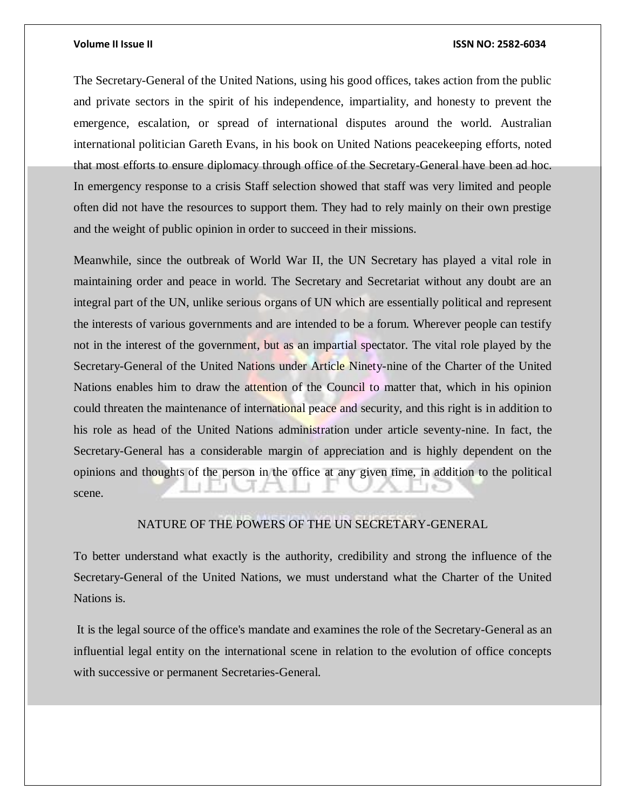The Secretary-General of the United Nations, using his good offices, takes action from the public and private sectors in the spirit of his independence, impartiality, and honesty to prevent the emergence, escalation, or spread of international disputes around the world. Australian international politician Gareth Evans, in his book on United Nations peacekeeping efforts, noted that most efforts to ensure diplomacy through office of the Secretary-General have been ad hoc. In emergency response to a crisis Staff selection showed that staff was very limited and people often did not have the resources to support them. They had to rely mainly on their own prestige and the weight of public opinion in order to succeed in their missions.

Meanwhile, since the outbreak of World War II, the UN Secretary has played a vital role in maintaining order and peace in world. The Secretary and Secretariat without any doubt are an integral part of the UN, unlike serious organs of UN which are essentially political and represent the interests of various governments and are intended to be a forum. Wherever people can testify not in the interest of the government, but as an impartial spectator. The vital role played by the Secretary-General of the United Nations under Article Ninety-nine of the Charter of the United Nations enables him to draw the attention of the Council to matter that, which in his opinion could threaten the maintenance of international peace and security, and this right is in addition to his role as head of the United Nations administration under article seventy-nine. In fact, the Secretary-General has a considerable margin of appreciation and is highly dependent on the opinions and thoughts of the person in the office at any given time, in addition to the political scene.

# NATURE OF THE POWERS OF THE UN SECRETARY-GENERAL

To better understand what exactly is the authority, credibility and strong the influence of the Secretary-General of the United Nations, we must understand what the Charter of the United Nations is.

It is the legal source of the office's mandate and examines the role of the Secretary-General as an influential legal entity on the international scene in relation to the evolution of office concepts with successive or permanent Secretaries-General.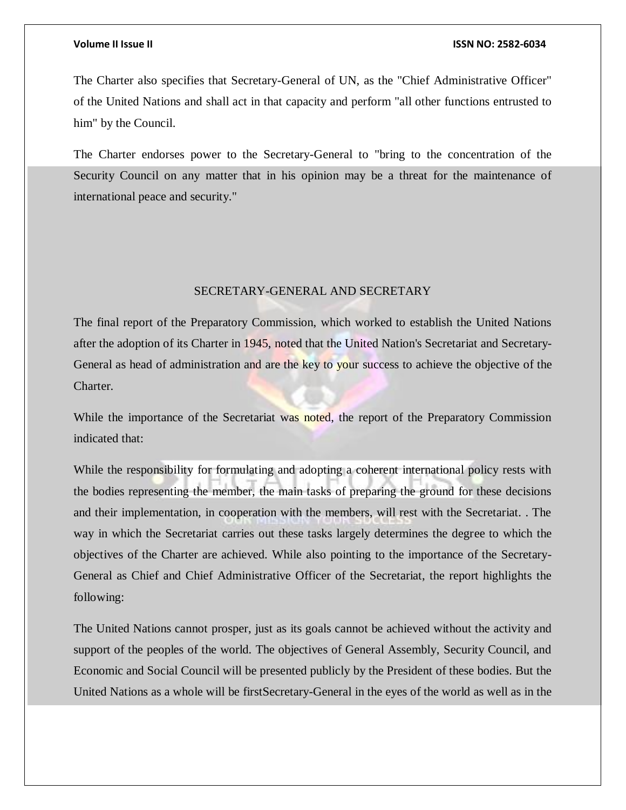The Charter also specifies that Secretary-General of UN, as the "Chief Administrative Officer" of the United Nations and shall act in that capacity and perform "all other functions entrusted to him" by the Council.

The Charter endorses power to the Secretary-General to "bring to the concentration of the Security Council on any matter that in his opinion may be a threat for the maintenance of international peace and security."

## SECRETARY-GENERAL AND SECRETARY

The final report of the Preparatory Commission, which worked to establish the United Nations after the adoption of its Charter in 1945, noted that the United Nation's Secretariat and Secretary-General as head of administration and are the key to your success to achieve the objective of the Charter.

While the importance of the Secretariat was noted, the report of the Preparatory Commission indicated that:

While the responsibility for formulating and adopting a coherent international policy rests with the bodies representing the member, the main tasks of preparing the ground for these decisions and their implementation, in cooperation with the members, will rest with the Secretariat. . The way in which the Secretariat carries out these tasks largely determines the degree to which the objectives of the Charter are achieved. While also pointing to the importance of the Secretary-General as Chief and Chief Administrative Officer of the Secretariat, the report highlights the following:

The United Nations cannot prosper, just as its goals cannot be achieved without the activity and support of the peoples of the world. The objectives of General Assembly, Security Council, and Economic and Social Council will be presented publicly by the President of these bodies. But the United Nations as a whole will be firstSecretary-General in the eyes of the world as well as in the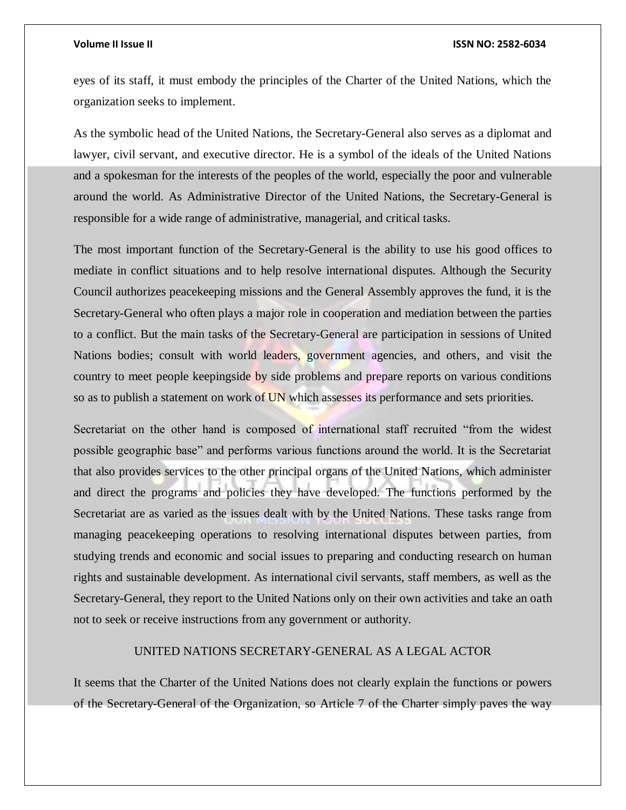eyes of its staff, it must embody the principles of the Charter of the United Nations, which the organization seeks to implement.

As the symbolic head of the United Nations, the Secretary-General also serves as a diplomat and lawyer, civil servant, and executive director. He is a symbol of the ideals of the United Nations and a spokesman for the interests of the peoples of the world, especially the poor and vulnerable around the world. As Administrative Director of the United Nations, the Secretary-General is responsible for a wide range of administrative, managerial, and critical tasks.

The most important function of the Secretary-General is the ability to use his good offices to mediate in conflict situations and to help resolve international disputes. Although the Security Council authorizes peacekeeping missions and the General Assembly approves the fund, it is the Secretary-General who often plays a major role in cooperation and mediation between the parties to a conflict. But the main tasks of the Secretary-General are participation in sessions of United Nations bodies; consult with world leaders, government agencies, and others, and visit the country to meet people keepingside by side problems and prepare reports on various conditions so as to publish a statement on work of UN which assesses its performance and sets priorities.

Secretariat on the other hand is composed of international staff recruited "from the widest possible geographic base" and performs various functions around the world. It is the Secretariat that also provides services to the other principal organs of the United Nations, which administer and direct the programs and policies they have developed. The functions performed by the Secretariat are as varied as the issues dealt with by the United Nations. These tasks range from managing peacekeeping operations to resolving international disputes between parties, from studying trends and economic and social issues to preparing and conducting research on human rights and sustainable development. As international civil servants, staff members, as well as the Secretary-General, they report to the United Nations only on their own activities and take an oath not to seek or receive instructions from any government or authority.

## UNITED NATIONS SECRETARY-GENERAL AS A LEGAL ACTOR

It seems that the Charter of the United Nations does not clearly explain the functions or powers of the Secretary-General of the Organization, so Article 7 of the Charter simply paves the way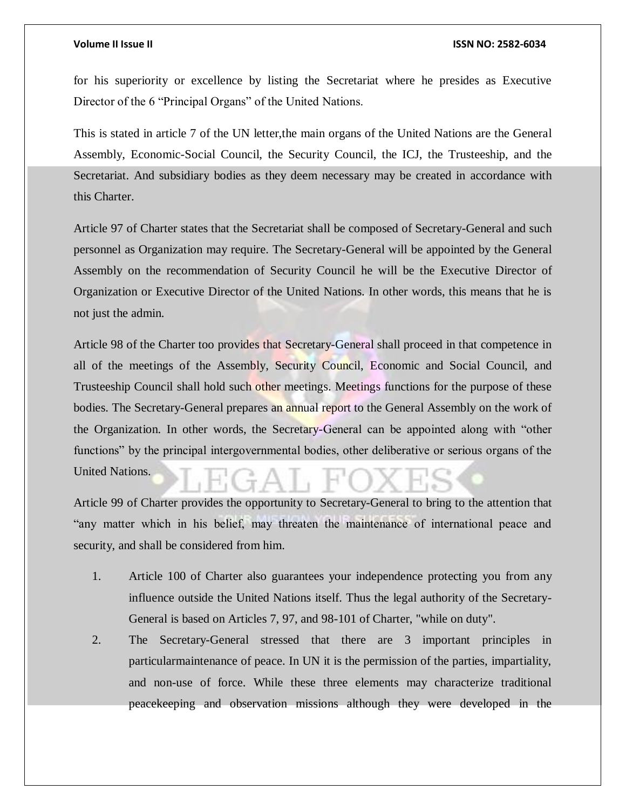for his superiority or excellence by listing the Secretariat where he presides as Executive Director of the 6 "Principal Organs" of the United Nations.

This is stated in article 7 of the UN letter,the main organs of the United Nations are the General Assembly, Economic-Social Council, the Security Council, the ICJ, the Trusteeship, and the Secretariat. And subsidiary bodies as they deem necessary may be created in accordance with this Charter.

Article 97 of Charter states that the Secretariat shall be composed of Secretary-General and such personnel as Organization may require. The Secretary-General will be appointed by the General Assembly on the recommendation of Security Council he will be the Executive Director of Organization or Executive Director of the United Nations. In other words, this means that he is not just the admin.

Article 98 of the Charter too provides that Secretary-General shall proceed in that competence in all of the meetings of the Assembly, Security Council, Economic and Social Council, and Trusteeship Council shall hold such other meetings. Meetings functions for the purpose of these bodies. The Secretary-General prepares an annual report to the General Assembly on the work of the Organization. In other words, the Secretary-General can be appointed along with "other functions" by the principal intergovernmental bodies, other deliberative or serious organs of the United Nations.

Article 99 of Charter provides the opportunity to Secretary-General to bring to the attention that "any matter which in his belief, may threaten the maintenance of international peace and security, and shall be considered from him.

- 1. Article 100 of Charter also guarantees your independence protecting you from any influence outside the United Nations itself. Thus the legal authority of the Secretary-General is based on Articles 7, 97, and 98-101 of Charter, "while on duty".
- 2. The Secretary-General stressed that there are 3 important principles in particularmaintenance of peace. In UN it is the permission of the parties, impartiality, and non-use of force. While these three elements may characterize traditional peacekeeping and observation missions although they were developed in the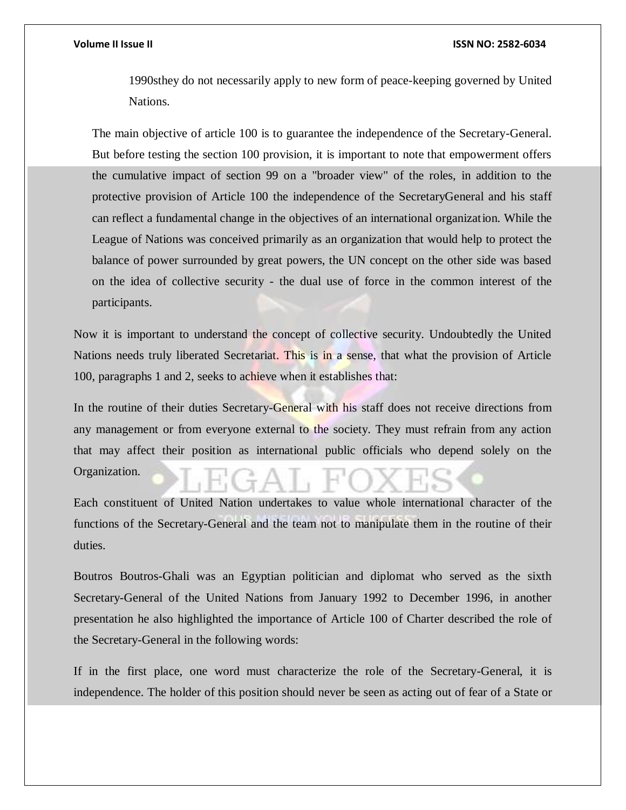1990sthey do not necessarily apply to new form of peace-keeping governed by United Nations.

The main objective of article 100 is to guarantee the independence of the Secretary-General. But before testing the section 100 provision, it is important to note that empowerment offers the cumulative impact of section 99 on a "broader view" of the roles, in addition to the protective provision of Article 100 the independence of the SecretaryGeneral and his staff can reflect a fundamental change in the objectives of an international organization. While the League of Nations was conceived primarily as an organization that would help to protect the balance of power surrounded by great powers, the UN concept on the other side was based on the idea of collective security - the dual use of force in the common interest of the participants.

Now it is important to understand the concept of collective security. Undoubtedly the United Nations needs truly liberated Secretariat. This is in a sense, that what the provision of Article 100, paragraphs 1 and 2, seeks to achieve when it establishes that:

In the routine of their duties Secretary-General with his staff does not receive directions from any management or from everyone external to the society. They must refrain from any action that may affect their position as international public officials who depend solely on the Organization.

Each constituent of United Nation undertakes to value whole international character of the functions of the Secretary-General and the team not to manipulate them in the routine of their duties.

Boutros Boutros-Ghali was an Egyptian politician and diplomat who served as the sixth Secretary-General of the United Nations from January 1992 to December 1996, in another presentation he also highlighted the importance of Article 100 of Charter described the role of the Secretary-General in the following words:

If in the first place, one word must characterize the role of the Secretary-General, it is independence. The holder of this position should never be seen as acting out of fear of a State or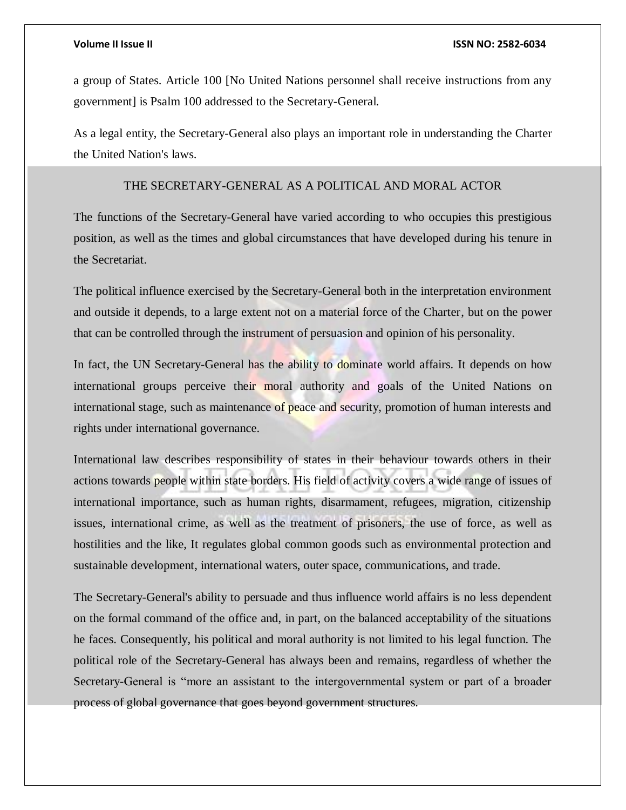a group of States. Article 100 [No United Nations personnel shall receive instructions from any government] is Psalm 100 addressed to the Secretary-General.

As a legal entity, the Secretary-General also plays an important role in understanding the Charter the United Nation's laws.

# THE SECRETARY-GENERAL AS A POLITICAL AND MORAL ACTOR

The functions of the Secretary-General have varied according to who occupies this prestigious position, as well as the times and global circumstances that have developed during his tenure in the Secretariat.

The political influence exercised by the Secretary-General both in the interpretation environment and outside it depends, to a large extent not on a material force of the Charter, but on the power that can be controlled through the instrument of persuasion and opinion of his personality.

In fact, the UN Secretary-General has the ability to dominate world affairs. It depends on how international groups perceive their moral authority and goals of the United Nations on international stage, such as maintenance of peace and security, promotion of human interests and rights under international governance.

International law describes responsibility of states in their behaviour towards others in their actions towards people within state borders. His field of activity covers a wide range of issues of international importance, such as human rights, disarmament, refugees, migration, citizenship issues, international crime, as well as the treatment of prisoners, the use of force, as well as hostilities and the like, It regulates global common goods such as environmental protection and sustainable development, international waters, outer space, communications, and trade.

The Secretary-General's ability to persuade and thus influence world affairs is no less dependent on the formal command of the office and, in part, on the balanced acceptability of the situations he faces. Consequently, his political and moral authority is not limited to his legal function. The political role of the Secretary-General has always been and remains, regardless of whether the Secretary-General is "more an assistant to the intergovernmental system or part of a broader process of global governance that goes beyond government structures.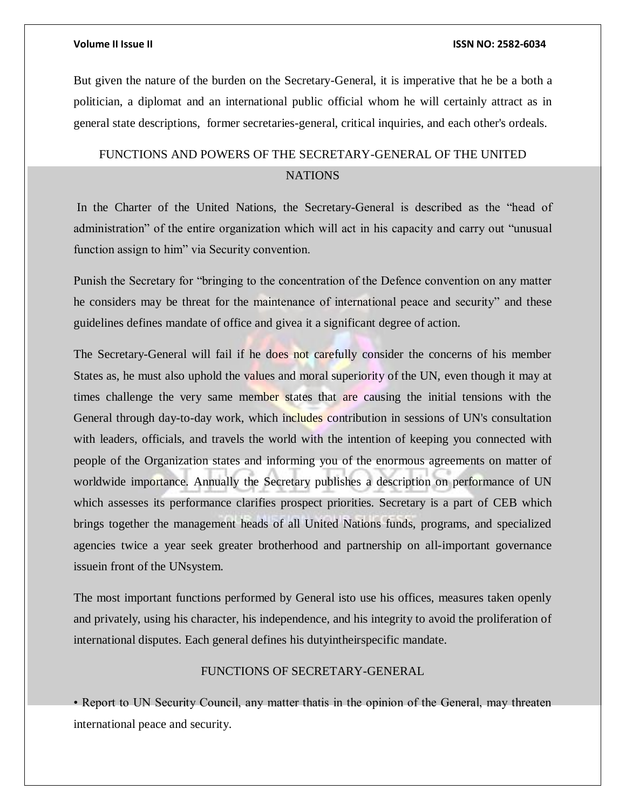But given the nature of the burden on the Secretary-General, it is imperative that he be a both a politician, a diplomat and an international public official whom he will certainly attract as in general state descriptions, former secretaries-general, critical inquiries, and each other's ordeals.

# FUNCTIONS AND POWERS OF THE SECRETARY-GENERAL OF THE UNITED NATIONS

In the Charter of the United Nations, the Secretary-General is described as the "head of administration" of the entire organization which will act in his capacity and carry out "unusual function assign to him" via Security convention.

Punish the Secretary for "bringing to the concentration of the Defence convention on any matter he considers may be threat for the maintenance of international peace and security" and these guidelines defines mandate of office and givea it a significant degree of action.

The Secretary-General will fail if he does not carefully consider the concerns of his member States as, he must also uphold the values and moral superiority of the UN, even though it may at times challenge the very same member states that are causing the initial tensions with the General through day-to-day work, which includes contribution in sessions of UN's consultation with leaders, officials, and travels the world with the intention of keeping you connected with people of the Organization states and informing you of the enormous agreements on matter of worldwide importance. Annually the Secretary publishes a description on performance of UN which assesses its performance clarifies prospect priorities. Secretary is a part of CEB which brings together the management heads of all United Nations funds, programs, and specialized agencies twice a year seek greater brotherhood and partnership on all-important governance issuein front of the UNsystem.

The most important functions performed by General isto use his offices, measures taken openly and privately, using his character, his independence, and his integrity to avoid the proliferation of international disputes. Each general defines his dutyintheirspecific mandate.

# FUNCTIONS OF SECRETARY-GENERAL

• Report to UN Security Council, any matter thatis in the opinion of the General, may threaten international peace and security.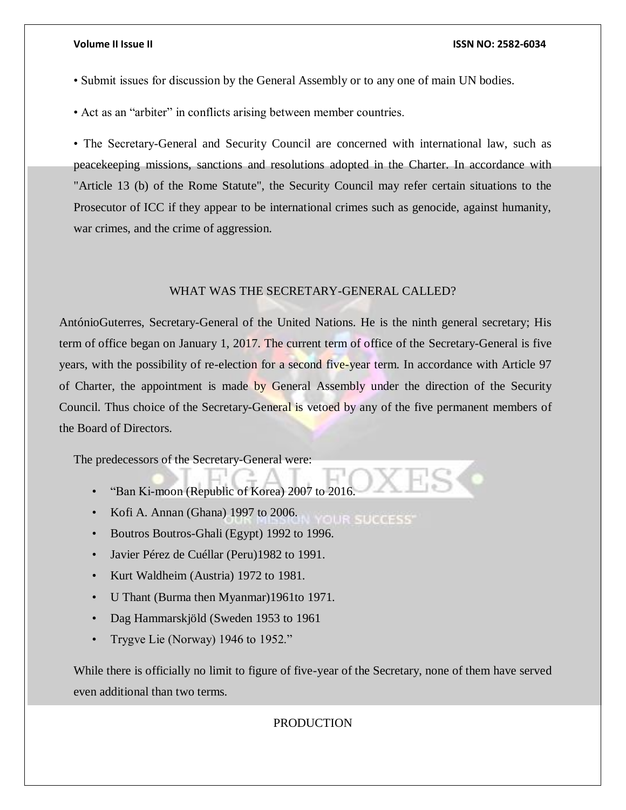- Submit issues for discussion by the General Assembly or to any one of main UN bodies.
- Act as an "arbiter" in conflicts arising between member countries.

• The Secretary-General and Security Council are concerned with international law, such as peacekeeping missions, sanctions and resolutions adopted in the Charter. In accordance with "Article 13 (b) of the Rome Statute", the Security Council may refer certain situations to the Prosecutor of ICC if they appear to be international crimes such as genocide, against humanity, war crimes, and the crime of aggression.

## WHAT WAS THE SECRETARY-GENERAL CALLED?

AntónioGuterres, Secretary-General of the United Nations. He is the ninth general secretary; His term of office began on January 1, 2017. The current term of office of the Secretary-General is five years, with the possibility of re-election for a second five-year term. In accordance with Article 97 of Charter, the appointment is made by General Assembly under the direction of the Security Council. Thus choice of the Secretary-General is vetoed by any of the five permanent members of the Board of Directors.

The predecessors of the Secretary-General were:

- "Ban Ki-moon (Republic of Korea) 2007 to 2016.
- Kofi A. Annan (Ghana) 1997 to 2006. **OUR SUCCESS**
- Boutros Boutros-Ghali (Egypt) 1992 to 1996.
- Javier Pérez de Cuéllar (Peru)1982 to 1991.
- Kurt Waldheim (Austria) 1972 to 1981.
- U Thant (Burma then Myanmar)1961to 1971.
- Dag Hammarskjöld (Sweden 1953 to 1961
- Trygve Lie (Norway) 1946 to 1952."

While there is officially no limit to figure of five-year of the Secretary, none of them have served even additional than two terms.

# PRODUCTION